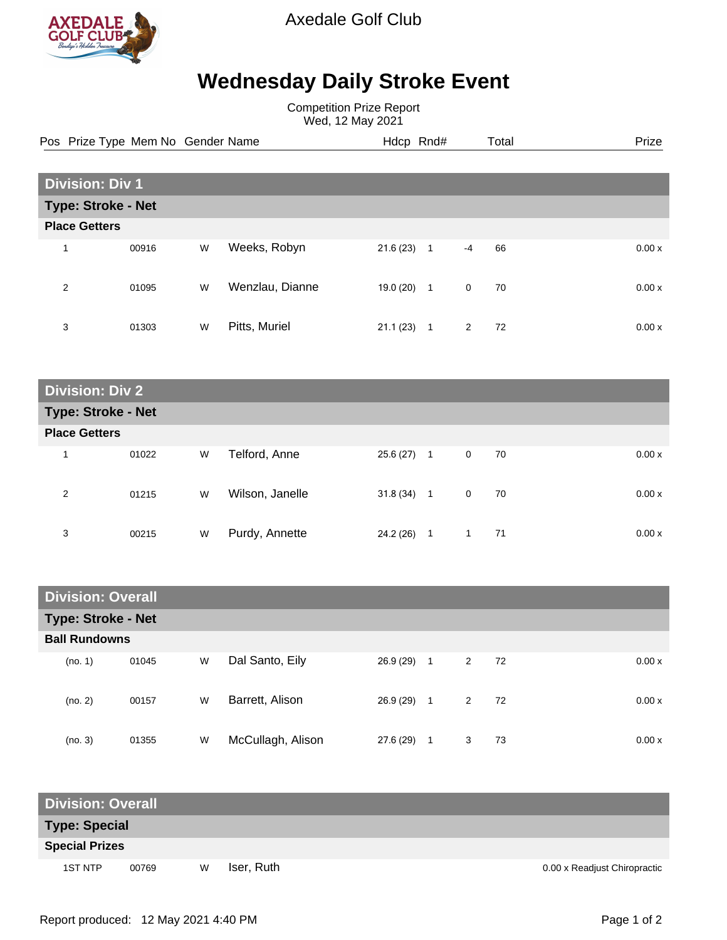

Axedale Golf Club

## **Wednesday Daily Stroke Event**

Competition Prize Report Wed, 12 May 2021

**Division: Div 1 Type: Stroke - Net Place Getters** 1 00916 W Weeks, Robyn 21.6 (23) 1 -4 66 0.00 x 2 01095 W Wenzlau, Dianne 19.0 (20) 1 0 70 0.00 x 3 01303 W Pitts, Muriel 21.1 (23) 1 2 72 0.00 x Pos Prize Type Mem No Gender Name **Heath Hotel Hotel And Heath Hotel Prize** Prize

**Division: Div 2 Type: Stroke - Net Place Getters** 1 01022 W Telford, Anne 25.6 (27) 1 0 70 0.00 x 2 01215 W Wilson, Janelle 31.8 (34) 1 0 70 0.00 x 3 00215 W Purdy, Annette 24.2 (26) 1 1 71 0.00 x

| <b>Division: Overall</b>  |       |   |                   |           |                |                |    |  |        |
|---------------------------|-------|---|-------------------|-----------|----------------|----------------|----|--|--------|
| <b>Type: Stroke - Net</b> |       |   |                   |           |                |                |    |  |        |
| <b>Ball Rundowns</b>      |       |   |                   |           |                |                |    |  |        |
| (no. 1)                   | 01045 | W | Dal Santo, Eily   | 26.9 (29) | $\overline{1}$ | $\overline{2}$ | 72 |  | 0.00 x |
| (no. 2)                   | 00157 | W | Barrett, Alison   | 26.9(29)  | 1              | $\overline{2}$ | 72 |  | 0.00 x |
| (no. 3)                   | 01355 | W | McCullagh, Alison | 27.6(29)  | 1              | 3              | 73 |  | 0.00x  |

| <b>Division: Overall</b> |       |   |            |                              |  |  |  |
|--------------------------|-------|---|------------|------------------------------|--|--|--|
| <b>Type: Special</b>     |       |   |            |                              |  |  |  |
| <b>Special Prizes</b>    |       |   |            |                              |  |  |  |
| 1ST NTP                  | 00769 | W | Iser, Ruth | 0.00 x Readjust Chiropractic |  |  |  |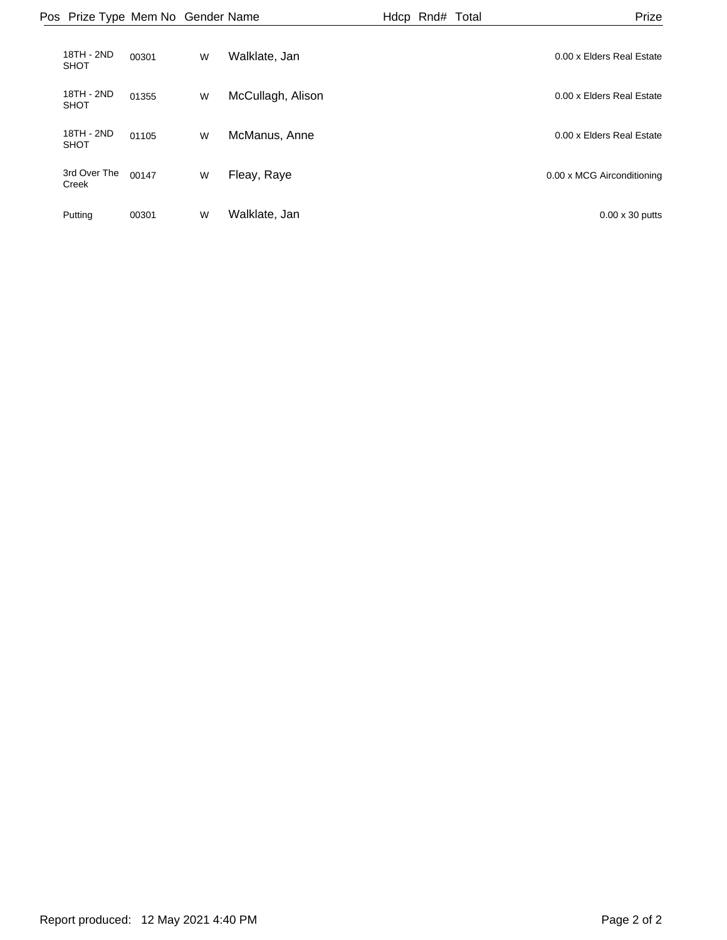|                           | Pos Prize Type Mem No Gender Name |   |                   | Hdcp Rnd# Total | Prize                      |
|---------------------------|-----------------------------------|---|-------------------|-----------------|----------------------------|
| 18TH - 2ND<br><b>SHOT</b> | 00301                             | W | Walklate, Jan     |                 | 0.00 x Elders Real Estate  |
| 18TH - 2ND<br><b>SHOT</b> | 01355                             | W | McCullagh, Alison |                 | 0.00 x Elders Real Estate  |
| 18TH - 2ND<br><b>SHOT</b> | 01105                             | W | McManus, Anne     |                 | 0.00 x Elders Real Estate  |
| 3rd Over The<br>Creek     | 00147                             | W | Fleay, Raye       |                 | 0.00 x MCG Airconditioning |
| Putting                   | 00301                             | W | Walklate, Jan     |                 | $0.00 \times 30$ putts     |